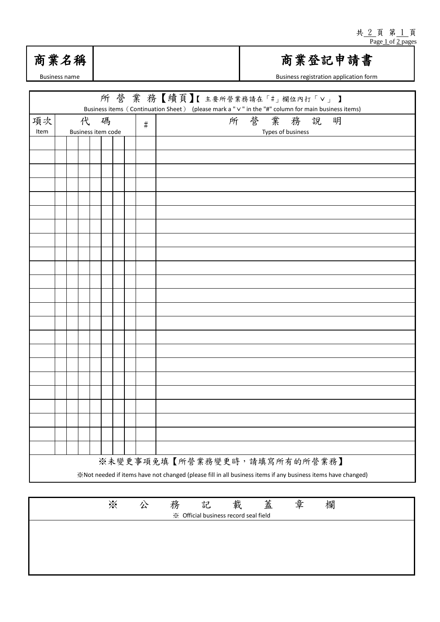

## 商業登記申請書

Business registration application form

| 所營業務【續頁】【主要所營業務請在「#」欄位內打「V」】<br>Business items (Continuation Sheet) (please mark a " $\vee$ " in the "#" column for main business items) |                                                                                                              |                    |  |  |  |  |      |                   |  |  |  |
|------------------------------------------------------------------------------------------------------------------------------------------|--------------------------------------------------------------------------------------------------------------|--------------------|--|--|--|--|------|-------------------|--|--|--|
| 項次                                                                                                                                       | 代<br>碼                                                                                                       |                    |  |  |  |  | $\#$ | 所營業務說<br>明        |  |  |  |
| Item                                                                                                                                     |                                                                                                              | Business item code |  |  |  |  |      | Types of business |  |  |  |
|                                                                                                                                          |                                                                                                              |                    |  |  |  |  |      |                   |  |  |  |
|                                                                                                                                          |                                                                                                              |                    |  |  |  |  |      |                   |  |  |  |
|                                                                                                                                          |                                                                                                              |                    |  |  |  |  |      |                   |  |  |  |
|                                                                                                                                          |                                                                                                              |                    |  |  |  |  |      |                   |  |  |  |
|                                                                                                                                          |                                                                                                              |                    |  |  |  |  |      |                   |  |  |  |
|                                                                                                                                          |                                                                                                              |                    |  |  |  |  |      |                   |  |  |  |
|                                                                                                                                          |                                                                                                              |                    |  |  |  |  |      |                   |  |  |  |
|                                                                                                                                          |                                                                                                              |                    |  |  |  |  |      |                   |  |  |  |
|                                                                                                                                          |                                                                                                              |                    |  |  |  |  |      |                   |  |  |  |
|                                                                                                                                          |                                                                                                              |                    |  |  |  |  |      |                   |  |  |  |
|                                                                                                                                          |                                                                                                              |                    |  |  |  |  |      |                   |  |  |  |
|                                                                                                                                          |                                                                                                              |                    |  |  |  |  |      |                   |  |  |  |
|                                                                                                                                          |                                                                                                              |                    |  |  |  |  |      |                   |  |  |  |
|                                                                                                                                          |                                                                                                              |                    |  |  |  |  |      |                   |  |  |  |
|                                                                                                                                          |                                                                                                              |                    |  |  |  |  |      |                   |  |  |  |
|                                                                                                                                          |                                                                                                              |                    |  |  |  |  |      |                   |  |  |  |
|                                                                                                                                          |                                                                                                              |                    |  |  |  |  |      |                   |  |  |  |
|                                                                                                                                          |                                                                                                              |                    |  |  |  |  |      |                   |  |  |  |
|                                                                                                                                          |                                                                                                              |                    |  |  |  |  |      |                   |  |  |  |
|                                                                                                                                          |                                                                                                              |                    |  |  |  |  |      |                   |  |  |  |
|                                                                                                                                          |                                                                                                              |                    |  |  |  |  |      |                   |  |  |  |
|                                                                                                                                          |                                                                                                              |                    |  |  |  |  |      |                   |  |  |  |
|                                                                                                                                          |                                                                                                              |                    |  |  |  |  |      |                   |  |  |  |
| ※未變更事項免填【所營業務變更時,請填寫所有的所營業務】                                                                                                             |                                                                                                              |                    |  |  |  |  |      |                   |  |  |  |
|                                                                                                                                          | ※Not needed if items have not changed (please fill in all business items if any business items have changed) |                    |  |  |  |  |      |                   |  |  |  |

| ☀ | 公 | 務 | 記                                     | +12<br>載 | 蓋 | 章 | 欄 |
|---|---|---|---------------------------------------|----------|---|---|---|
|   |   |   | ※ Official business record seal field |          |   |   |   |
|   |   |   |                                       |          |   |   |   |
|   |   |   |                                       |          |   |   |   |
|   |   |   |                                       |          |   |   |   |
|   |   |   |                                       |          |   |   |   |
|   |   |   |                                       |          |   |   |   |
|   |   |   |                                       |          |   |   |   |